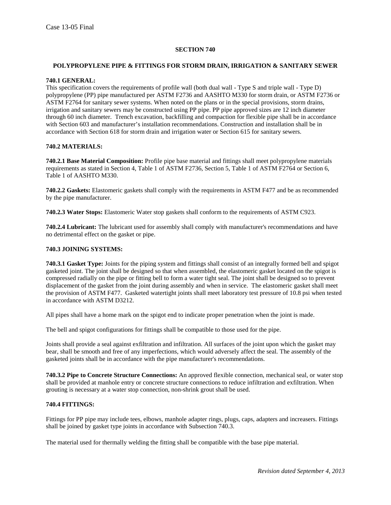# **SECTION 740**

# **POLYPROPYLENE PIPE & FITTINGS FOR STORM DRAIN, IRRIGATION & SANITARY SEWER**

### **740.1 GENERAL:**

This specification covers the requirements of profile wall (both dual wall - Type S and triple wall - Type D) polypropylene (PP) pipe manufactured per ASTM F2736 and AASHTO M330 for storm drain, or ASTM F2736 or ASTM F2764 for sanitary sewer systems. When noted on the plans or in the special provisions, storm drains, irrigation and sanitary sewers may be constructed using PP pipe. PP pipe approved sizes are 12 inch diameter through 60 inch diameter. Trench excavation, backfilling and compaction for flexible pipe shall be in accordance with Section 603 and manufacturer's installation recommendations. Construction and installation shall be in accordance with Section 618 for storm drain and irrigation water or Section 615 for sanitary sewers.

# **740.2 MATERIALS:**

**740.2.1 Base Material Composition:** Profile pipe base material and fittings shall meet polypropylene materials requirements as stated in Section 4, Table 1 of ASTM F2736, Section 5, Table 1 of ASTM F2764 or Section 6, Table 1 of AASHTO M330.

**740.2.2 Gaskets:** Elastomeric gaskets shall comply with the requirements in ASTM F477 and be as recommended by the pipe manufacturer.

**740.2.3 Water Stops:** Elastomeric Water stop gaskets shall conform to the requirements of ASTM C923.

**740.2.4 Lubricant:** The lubricant used for assembly shall comply with manufacturer's recommendations and have no detrimental effect on the gasket or pipe.

# **740.3 JOINING SYSTEMS:**

**740.3.1 Gasket Type:** Joints for the piping system and fittings shall consist of an integrally formed bell and spigot gasketed joint. The joint shall be designed so that when assembled, the elastomeric gasket located on the spigot is compressed radially on the pipe or fitting bell to form a water tight seal. The joint shall be designed so to prevent displacement of the gasket from the joint during assembly and when in service. The elastomeric gasket shall meet the provision of ASTM F477. Gasketed watertight joints shall meet laboratory test pressure of 10.8 psi when tested in accordance with ASTM D3212.

All pipes shall have a home mark on the spigot end to indicate proper penetration when the joint is made.

The bell and spigot configurations for fittings shall be compatible to those used for the pipe.

Joints shall provide a seal against exfiltration and infiltration. All surfaces of the joint upon which the gasket may bear, shall be smooth and free of any imperfections, which would adversely affect the seal. The assembly of the gasketed joints shall be in accordance with the pipe manufacturer's recommendations.

**740.3.2 Pipe to Concrete Structure Connections:** An approved flexible connection, mechanical seal, or water stop shall be provided at manhole entry or concrete structure connections to reduce infiltration and exfiltration. When grouting is necessary at a water stop connection, non-shrink grout shall be used.

### **740.4 FITTINGS:**

Fittings for PP pipe may include tees, elbows, manhole adapter rings, plugs, caps, adapters and increasers. Fittings shall be joined by gasket type joints in accordance with Subsection 740.3.

The material used for thermally welding the fitting shall be compatible with the base pipe material.